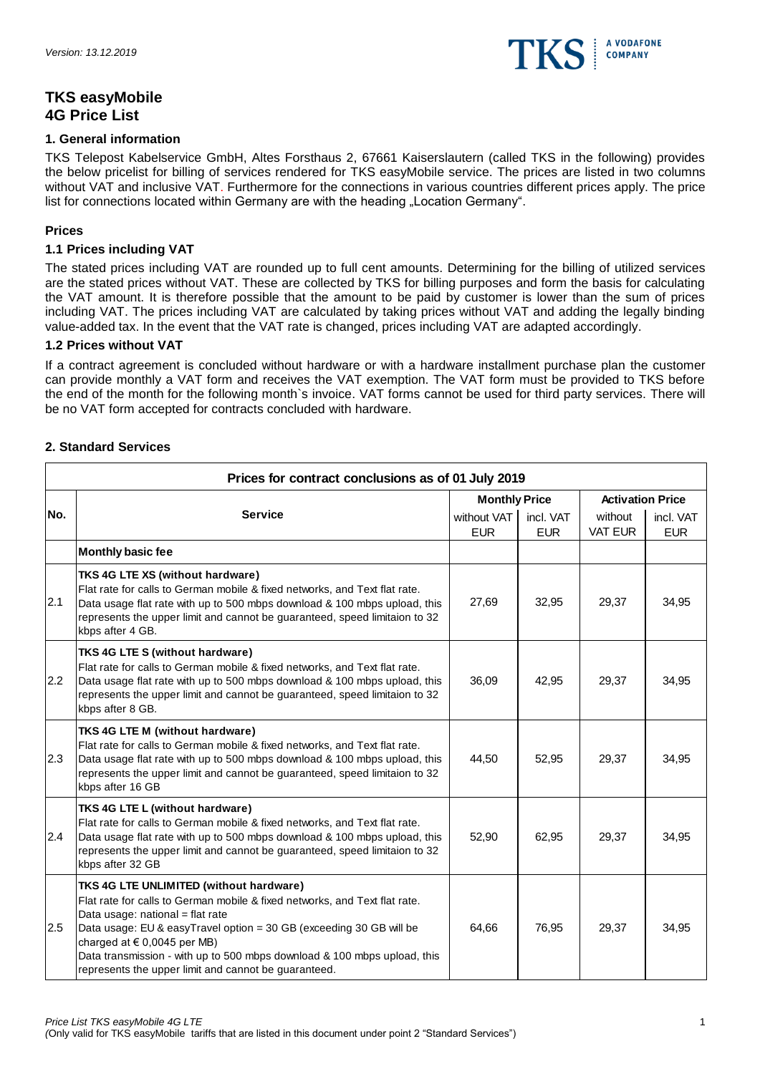

# **TKS easyMobile 4G Price List**

# **1. General information**

TKS Telepost Kabelservice GmbH, Altes Forsthaus 2, 67661 Kaiserslautern (called TKS in the following) provides the below pricelist for billing of services rendered for TKS easyMobile service. The prices are listed in two columns without VAT and inclusive VAT. Furthermore for the connections in various countries different prices apply. The price list for connections located within Germany are with the heading "Location Germany".

# **Prices**

# **1.1 Prices including VAT**

The stated prices including VAT are rounded up to full cent amounts. Determining for the billing of utilized services are the stated prices without VAT. These are collected by TKS for billing purposes and form the basis for calculating the VAT amount. It is therefore possible that the amount to be paid by customer is lower than the sum of prices including VAT. The prices including VAT are calculated by taking prices without VAT and adding the legally binding value-added tax. In the event that the VAT rate is changed, prices including VAT are adapted accordingly.

# **1.2 Prices without VAT**

If a contract agreement is concluded without hardware or with a hardware installment purchase plan the customer can provide monthly a VAT form and receives the VAT exemption. The VAT form must be provided to TKS before the end of the month for the following month`s invoice. VAT forms cannot be used for third party services. There will be no VAT form accepted for contracts concluded with hardware.

# **2. Standard Services**

|     | Prices for contract conclusions as of 01 July 2019                                                                                                                                                                                                                                                                                                                                                      |                           |                         |                           |                         |  |  |
|-----|---------------------------------------------------------------------------------------------------------------------------------------------------------------------------------------------------------------------------------------------------------------------------------------------------------------------------------------------------------------------------------------------------------|---------------------------|-------------------------|---------------------------|-------------------------|--|--|
|     |                                                                                                                                                                                                                                                                                                                                                                                                         | <b>Monthly Price</b>      |                         | <b>Activation Price</b>   |                         |  |  |
| No. | <b>Service</b>                                                                                                                                                                                                                                                                                                                                                                                          | without VAT<br><b>EUR</b> | incl. VAT<br><b>EUR</b> | without<br><b>VAT EUR</b> | incl. VAT<br><b>EUR</b> |  |  |
|     | <b>Monthly basic fee</b>                                                                                                                                                                                                                                                                                                                                                                                |                           |                         |                           |                         |  |  |
| 2.1 | TKS 4G LTE XS (without hardware)<br>Flat rate for calls to German mobile & fixed networks, and Text flat rate.<br>Data usage flat rate with up to 500 mbps download & 100 mbps upload, this<br>represents the upper limit and cannot be guaranteed, speed limitaion to 32<br>kbps after 4 GB.                                                                                                           | 27,69                     | 32,95                   | 29,37                     | 34,95                   |  |  |
| 2.2 | TKS 4G LTE S (without hardware)<br>Flat rate for calls to German mobile & fixed networks, and Text flat rate.<br>Data usage flat rate with up to 500 mbps download & 100 mbps upload, this<br>represents the upper limit and cannot be guaranteed, speed limitaion to 32<br>kbps after 8 GB.                                                                                                            | 36.09                     | 42,95                   | 29,37                     | 34,95                   |  |  |
| 2.3 | <b>TKS 4G LTE M (without hardware)</b><br>Flat rate for calls to German mobile & fixed networks, and Text flat rate.<br>Data usage flat rate with up to 500 mbps download & 100 mbps upload, this<br>represents the upper limit and cannot be guaranteed, speed limitaion to 32<br>kbps after 16 GB                                                                                                     | 44,50                     | 52,95                   | 29,37                     | 34,95                   |  |  |
| 2.4 | TKS 4G LTE L (without hardware)<br>Flat rate for calls to German mobile & fixed networks, and Text flat rate.<br>Data usage flat rate with up to 500 mbps download & 100 mbps upload, this<br>represents the upper limit and cannot be guaranteed, speed limitaion to 32<br>kbps after 32 GB                                                                                                            | 52,90                     | 62,95                   | 29,37                     | 34,95                   |  |  |
| 2.5 | TKS 4G LTE UNLIMITED (without hardware)<br>Flat rate for calls to German mobile & fixed networks, and Text flat rate.<br>Data usage: national = flat rate<br>Data usage: EU & easyTravel option = 30 GB (exceeding 30 GB will be<br>charged at $\in$ 0,0045 per MB)<br>Data transmission - with up to 500 mbps download & 100 mbps upload, this<br>represents the upper limit and cannot be guaranteed. | 64,66                     | 76,95                   | 29,37                     | 34,95                   |  |  |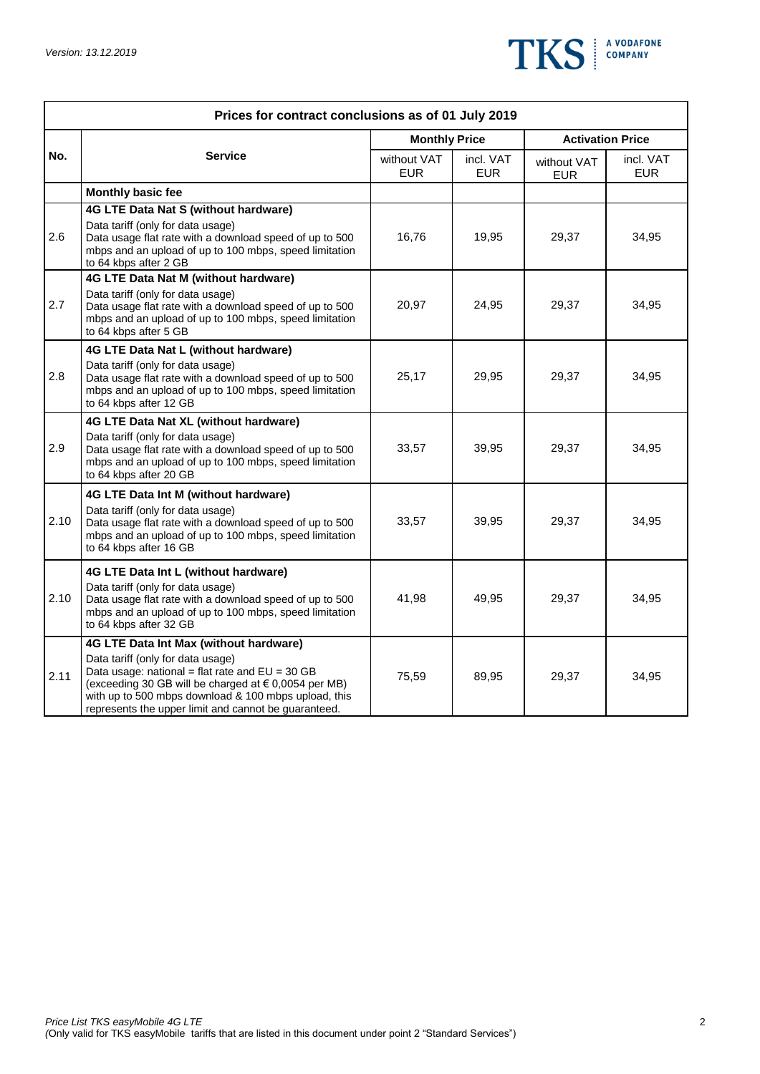

| Prices for contract conclusions as of 01 July 2019<br><b>Monthly Price</b><br><b>Activation Price</b><br>No.<br><b>Service</b><br>without VAT<br>incl. VAT<br>incl. VAT<br>without VAT<br><b>EUR</b><br><b>EUR</b><br><b>EUR</b><br><b>EUR</b><br>Monthly basic fee<br>4G LTE Data Nat S (without hardware) |                                                                                                                                                                                                                                                                                                          |       |       |       |       |  |  |
|-------------------------------------------------------------------------------------------------------------------------------------------------------------------------------------------------------------------------------------------------------------------------------------------------------------|----------------------------------------------------------------------------------------------------------------------------------------------------------------------------------------------------------------------------------------------------------------------------------------------------------|-------|-------|-------|-------|--|--|
|                                                                                                                                                                                                                                                                                                             |                                                                                                                                                                                                                                                                                                          |       |       |       |       |  |  |
|                                                                                                                                                                                                                                                                                                             |                                                                                                                                                                                                                                                                                                          |       |       |       |       |  |  |
|                                                                                                                                                                                                                                                                                                             |                                                                                                                                                                                                                                                                                                          |       |       |       |       |  |  |
| 2.6                                                                                                                                                                                                                                                                                                         | Data tariff (only for data usage)<br>Data usage flat rate with a download speed of up to 500<br>mbps and an upload of up to 100 mbps, speed limitation<br>to 64 kbps after 2 GB                                                                                                                          | 16,76 | 19,95 | 29,37 | 34,95 |  |  |
| 2.7                                                                                                                                                                                                                                                                                                         | 4G LTE Data Nat M (without hardware)<br>Data tariff (only for data usage)<br>Data usage flat rate with a download speed of up to 500<br>mbps and an upload of up to 100 mbps, speed limitation<br>to 64 kbps after 5 GB                                                                                  | 20,97 | 24,95 | 29,37 | 34,95 |  |  |
| 2.8                                                                                                                                                                                                                                                                                                         | 4G LTE Data Nat L (without hardware)<br>Data tariff (only for data usage)<br>Data usage flat rate with a download speed of up to 500<br>mbps and an upload of up to 100 mbps, speed limitation<br>to 64 kbps after 12 GB                                                                                 | 25,17 | 29,95 | 29,37 | 34,95 |  |  |
| 2.9                                                                                                                                                                                                                                                                                                         | 4G LTE Data Nat XL (without hardware)<br>Data tariff (only for data usage)<br>Data usage flat rate with a download speed of up to 500<br>mbps and an upload of up to 100 mbps, speed limitation<br>to 64 kbps after 20 GB                                                                                | 33,57 | 39,95 | 29,37 | 34,95 |  |  |
| 2.10                                                                                                                                                                                                                                                                                                        | 4G LTE Data Int M (without hardware)<br>Data tariff (only for data usage)<br>Data usage flat rate with a download speed of up to 500<br>mbps and an upload of up to 100 mbps, speed limitation<br>to 64 kbps after 16 GB                                                                                 | 33,57 | 39,95 | 29,37 | 34,95 |  |  |
| 2.10                                                                                                                                                                                                                                                                                                        | 4G LTE Data Int L (without hardware)<br>Data tariff (only for data usage)<br>Data usage flat rate with a download speed of up to 500<br>mbps and an upload of up to 100 mbps, speed limitation<br>to 64 kbps after 32 GB                                                                                 | 41,98 | 49,95 | 29,37 | 34,95 |  |  |
| 2.11                                                                                                                                                                                                                                                                                                        | 4G LTE Data Int Max (without hardware)<br>Data tariff (only for data usage)<br>Data usage: national = flat rate and $EU = 30 GB$<br>(exceeding 30 GB will be charged at € 0,0054 per MB)<br>with up to 500 mbps download & 100 mbps upload, this<br>represents the upper limit and cannot be guaranteed. | 75,59 | 89,95 | 29,37 | 34,95 |  |  |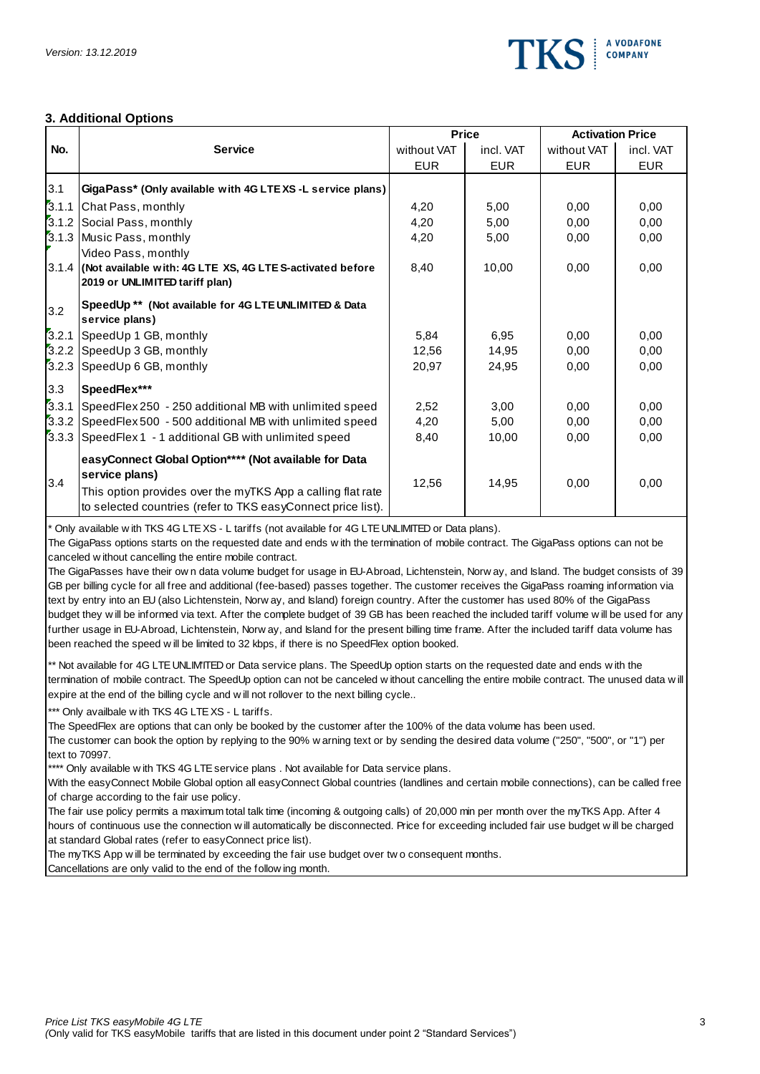

## **3. Additional Options**

|       |                                                                                                                                                                                                                                                                                                                                                                                                                                                 |             | <b>Price</b> | <b>Activation Price</b> |            |  |  |
|-------|-------------------------------------------------------------------------------------------------------------------------------------------------------------------------------------------------------------------------------------------------------------------------------------------------------------------------------------------------------------------------------------------------------------------------------------------------|-------------|--------------|-------------------------|------------|--|--|
| No.   | <b>Service</b>                                                                                                                                                                                                                                                                                                                                                                                                                                  | without VAT | incl. VAT    | without VAT             | incl. VAT  |  |  |
|       |                                                                                                                                                                                                                                                                                                                                                                                                                                                 | <b>EUR</b>  | <b>EUR</b>   | <b>EUR</b>              | <b>EUR</b> |  |  |
| 3.1   | GigaPass* (Only available with 4G LTEXS-L service plans)                                                                                                                                                                                                                                                                                                                                                                                        |             |              |                         |            |  |  |
|       | 3.1.1 Chat Pass, monthly                                                                                                                                                                                                                                                                                                                                                                                                                        | 4,20        | 5,00         | 0,00                    | 0,00       |  |  |
|       | 3.1.2 Social Pass, monthly                                                                                                                                                                                                                                                                                                                                                                                                                      | 4,20        | 5,00         | 0,00                    | 0,00       |  |  |
|       | 3.1.3 Music Pass, monthly                                                                                                                                                                                                                                                                                                                                                                                                                       | 4,20        | 5,00         | 0,00                    | 0,00       |  |  |
|       | Video Pass, monthly                                                                                                                                                                                                                                                                                                                                                                                                                             |             |              |                         |            |  |  |
|       | 3.1.4 (Not available with: 4G LTE XS, 4G LTE S-activated before                                                                                                                                                                                                                                                                                                                                                                                 | 8,40        | 10,00        | 0,00                    | 0,00       |  |  |
|       | 2019 or UNLIMITED tariff plan)                                                                                                                                                                                                                                                                                                                                                                                                                  |             |              |                         |            |  |  |
| 3.2   | SpeedUp ** (Not available for 4G LTE UNLIMITED & Data<br>service plans)                                                                                                                                                                                                                                                                                                                                                                         |             |              |                         |            |  |  |
| 3.2.1 | SpeedUp 1 GB, monthly                                                                                                                                                                                                                                                                                                                                                                                                                           | 5,84        | 6,95         | 0,00                    | 0,00       |  |  |
|       | 3.2.2 SpeedUp 3 GB, monthly                                                                                                                                                                                                                                                                                                                                                                                                                     | 12,56       | 14,95        | 0,00                    | 0,00       |  |  |
| 3.2.3 | SpeedUp 6 GB, monthly                                                                                                                                                                                                                                                                                                                                                                                                                           | 20,97       | 24,95        | 0,00                    | 0,00       |  |  |
| 3.3   | SpeedFlex***                                                                                                                                                                                                                                                                                                                                                                                                                                    |             |              |                         |            |  |  |
| 3.3.1 | SpeedFlex 250 - 250 additional MB with unlimited speed                                                                                                                                                                                                                                                                                                                                                                                          | 2,52        | 3,00         | 0,00                    | 0,00       |  |  |
| 3.3.2 | SpeedFlex 500 - 500 additional MB with unlimited speed                                                                                                                                                                                                                                                                                                                                                                                          | 4,20        | 5,00         | 0.00                    | 0,00       |  |  |
| 3.3.3 | SpeedFlex 1 - 1 additional GB with unlimited speed                                                                                                                                                                                                                                                                                                                                                                                              | 8,40        | 10,00        | 0,00                    | 0.00       |  |  |
|       | easyConnect Global Option**** (Not available for Data<br>service plans)                                                                                                                                                                                                                                                                                                                                                                         |             |              |                         |            |  |  |
| 3.4   | This option provides over the myTKS App a calling flat rate<br>to selected countries (refer to TKS easyConnect price list).                                                                                                                                                                                                                                                                                                                     | 12,56       | 14,95        | 0,00                    | 0.00       |  |  |
|       | * Only available w ith TKS 4G LTE XS - L tariffs (not available for 4G LTE UNLIMITED or Data plans).<br>The GigaPass options starts on the requested date and ends w ith the termination of mobile contract. The GigaPass options can not be<br>canceled without cancelling the entire mobile contract.<br>The GigaPasses have their own data volume budget for usage in EU-Abroad. Lichtenstein, Norway, and Island. The budget consists of 39 |             |              |                         |            |  |  |

\* Only available with TKS 4G LTE XS - L tariffs (not available for 4G LTE UNLIMITED or Data plans).<br>The GigaPass options starts on the requested date and ends with the termination of mobile contract. The GigaPass options c

budget they will be informed via text. After the complete budget of 39 GB has been reached the included tariff volume will be used for any further usage in EU-Abroad, Lichtenstein, Norw ay, and Island for the present billi GB per billing cycle for all free and additional (fee-based) passes together. The customer receives the GigaPass roaming information via<br>text by entry into an EU (also Lichtenstein, Norw ay, and Island) foreign country. Af The GigaPasses have their own data volume budget for usage in EU-Abroad, Lichtenstein, Norw ay, and Island. The budget consists<br>GB per billing cycle for all free and additional (fee-based) passes together. The customer rec but Gale is the interest the interest of 39 GB has been text. The GigaPasses have their own data volume budget for usage in EU-Abroad, Lichtenstein, Norw ay, and Island. The budget consists of 39 GB per billing cycle for a text by entry into an EU (also Lichtenstein, Norw ay, and Island) foreign country. After the customer has used 80% of the GigaPass

termination of mobile contract. The SpeedUp option can not be canceled w ithout cancelling the entire mobile contract. The unused data w ill expire at the end of the billing cycle and w ill not rollover to the next billing cycle..

\*\*\* Only availbale w ith TKS 4G LTE XS - L tariffs.

The SpeedFlex are options that can only be booked by the customer after the 100% of the data volume has been used. The customer can book the option by replying to the 90% w arning text or by sending the desired data volume ("250", "500", or "1") per text to 70997.

\*\*\*\* Only available w ith TKS 4G LTE service plans . Not available for Data service plans.

of charge according to the fair use policy.

With the easyConnect Mobile Global option all easyConnect Global countries (landlines and certain mobile connections), can be called free<br>of charge according to the fair use policy.<br>The fair use policy permits a maximum to The fair use policy permits a maximum total talk time (incoming & outgoing calls) of 20,000 min per month over the myTKS App. After 4<br>hours of continuous use the connection w ill automatically be disconnected. Price for ex at standard Global rates (refer to easyConnect price list). hours of continuous use the connection will automatically be disconnected. Price for exceeding included fair use budget will be charged<br>at standard Global rates (refer to easyConnect price list).<br>The myTKS App will be term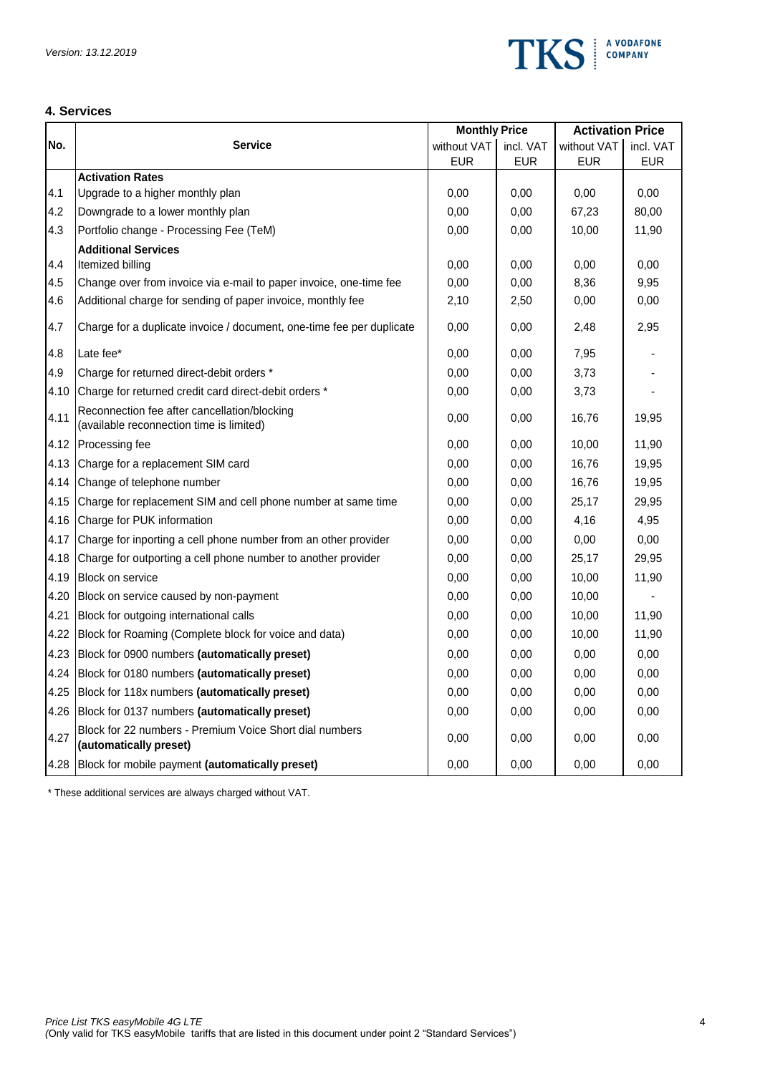

# **4. Services**

|      |                                                                                          | <b>Monthly Price</b> |            | <b>Activation Price</b> |            |
|------|------------------------------------------------------------------------------------------|----------------------|------------|-------------------------|------------|
| No.  | <b>Service</b>                                                                           | without VAT          | incl. VAT  | without VAT             | incl. VAT  |
|      |                                                                                          | <b>EUR</b>           | <b>EUR</b> | <b>EUR</b>              | <b>EUR</b> |
| 4.1  | <b>Activation Rates</b><br>Upgrade to a higher monthly plan                              |                      |            |                         | 0,00       |
|      |                                                                                          | 0,00                 | 0.00       | 0,00                    |            |
| 4.2  | Downgrade to a lower monthly plan                                                        | 0,00                 | 0,00       | 67,23                   | 80,00      |
| 4.3  | Portfolio change - Processing Fee (TeM)                                                  | 0,00                 | 0,00       | 10,00                   | 11,90      |
| 4.4  | <b>Additional Services</b><br>Itemized billing                                           | 0,00                 | 0.00       | 0,00                    | 0,00       |
| 4.5  | Change over from invoice via e-mail to paper invoice, one-time fee                       | 0,00                 | 0,00       | 8,36                    | 9,95       |
| 4.6  | Additional charge for sending of paper invoice, monthly fee                              | 2,10                 | 2,50       | 0,00                    | 0,00       |
|      |                                                                                          |                      |            |                         |            |
| 4.7  | Charge for a duplicate invoice / document, one-time fee per duplicate                    | 0,00                 | 0,00       | 2,48                    | 2,95       |
| 4.8  | Late fee*                                                                                | 0,00                 | 0,00       | 7,95                    |            |
| 4.9  | Charge for returned direct-debit orders *                                                | 0,00                 | 0,00       | 3,73                    |            |
| 4.10 | Charge for returned credit card direct-debit orders *                                    | 0,00                 | 0,00       | 3,73                    |            |
| 4.11 | Reconnection fee after cancellation/blocking<br>(available reconnection time is limited) | 0,00                 | 0.00       | 16,76                   | 19,95      |
| 4.12 | Processing fee                                                                           | 0,00                 | 0.00       | 10,00                   | 11,90      |
| 4.13 | Charge for a replacement SIM card                                                        | 0,00                 | 0,00       | 16,76                   | 19,95      |
| 4.14 | Change of telephone number                                                               | 0,00                 | 0,00       | 16,76                   | 19,95      |
| 4.15 | Charge for replacement SIM and cell phone number at same time                            | 0,00                 | 0.00       | 25,17                   | 29,95      |
| 4.16 | Charge for PUK information                                                               | 0,00                 | 0,00       | 4,16                    | 4,95       |
| 4.17 | Charge for inporting a cell phone number from an other provider                          | 0,00                 | 0,00       | 0,00                    | 0,00       |
| 4.18 | Charge for outporting a cell phone number to another provider                            | 0,00                 | 0,00       | 25,17                   | 29,95      |
| 4.19 | <b>Block on service</b>                                                                  | 0,00                 | 0,00       | 10,00                   | 11,90      |
| 4.20 | Block on service caused by non-payment                                                   | 0,00                 | 0,00       | 10,00                   |            |
| 4.21 | Block for outgoing international calls                                                   | 0,00                 | 0,00       | 10,00                   | 11,90      |
| 4.22 | Block for Roaming (Complete block for voice and data)                                    | 0,00                 | 0,00       | 10,00                   | 11,90      |
| 4.23 | Block for 0900 numbers (automatically preset)                                            | 0,00                 | 0,00       | 0,00                    | 0,00       |
| 4.24 | Block for 0180 numbers (automatically preset)                                            | 0,00                 | 0,00       | 0,00                    | 0,00       |
| 4.25 | Block for 118x numbers (automatically preset)                                            | 0,00                 | 0,00       | 0,00                    | 0,00       |
| 4.26 | Block for 0137 numbers (automatically preset)                                            | 0,00                 | 0.00       | 0,00                    | 0,00       |
| 4.27 | Block for 22 numbers - Premium Voice Short dial numbers<br>(automatically preset)        | 0,00                 | 0,00       | 0,00                    | 0,00       |
| 4.28 | Block for mobile payment (automatically preset)                                          | 0,00                 | 0,00       | 0,00                    | 0,00       |

\* These additional services are always charged without VAT.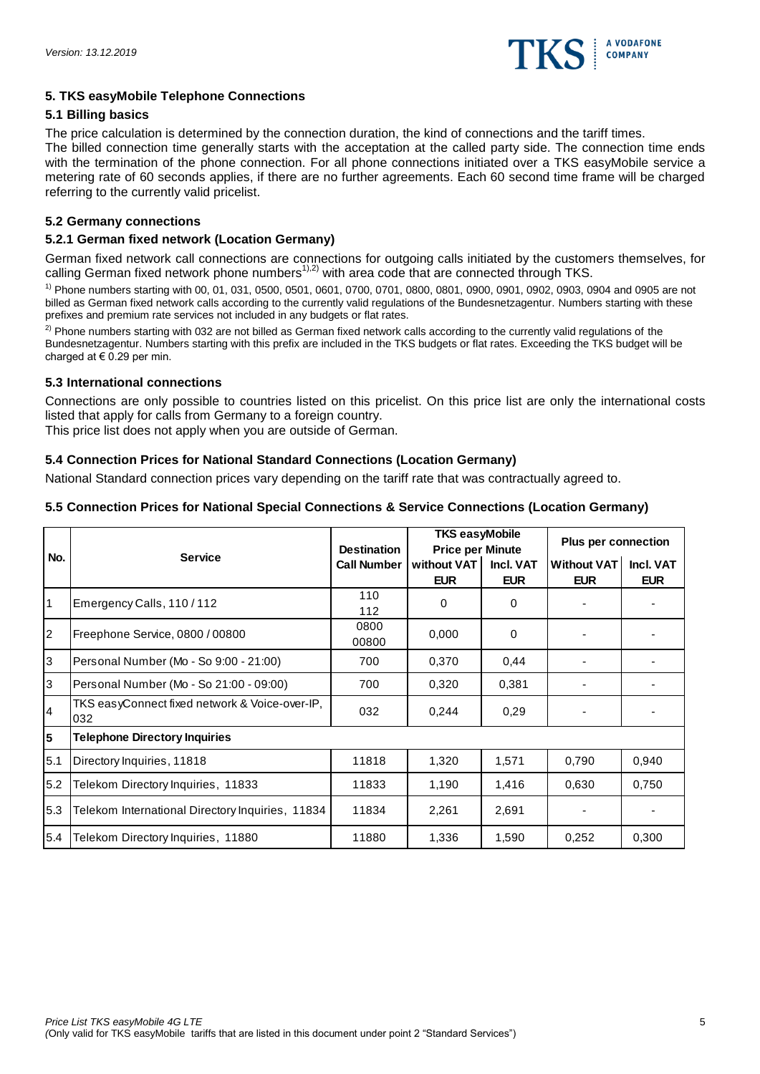

# **5. TKS easyMobile Telephone Connections**

# **5.1 Billing basics**

The price calculation is determined by the connection duration, the kind of connections and the tariff times. The billed connection time generally starts with the acceptation at the called party side. The connection time ends

with the termination of the phone connection. For all phone connections initiated over a TKS easyMobile service a metering rate of 60 seconds applies, if there are no further agreements. Each 60 second time frame will be charged referring to the currently valid pricelist.

# **5.2 Germany connections**

# **5.2.1 German fixed network (Location Germany)**

German fixed network call connections are connections for outgoing calls initiated by the customers themselves, for calling German fixed network phone numbers<sup>1),2)</sup> with area code that are connected through TKS.

1) Phone numbers starting with 00, 01, 031, 0500, 0501, 0601, 0700, 0701, 0800, 0801, 0900, 0901, 0902, 0903, 0904 and 0905 are not billed as German fixed network calls according to the currently valid regulations of the Bundesnetzagentur. Numbers starting with these prefixes and premium rate services not included in any budgets or flat rates.

 $2)$  Phone numbers starting with 032 are not billed as German fixed network calls according to the currently valid regulations of the Bundesnetzagentur. Numbers starting with this prefix are included in the TKS budgets or flat rates. Exceeding the TKS budget will be charged at  $\in$  0.29 per min.

# **5.3 International connections**

Connections are only possible to countries listed on this pricelist. On this price list are only the international costs listed that apply for calls from Germany to a foreign country.

This price list does not apply when you are outside of German.

# **5.4 Connection Prices for National Standard Connections (Location Germany)**

National Standard connection prices vary depending on the tariff rate that was contractually agreed to.

# **5.5 Connection Prices for National Special Connections & Service Connections (Location Germany)**

|     |                                                        | <b>Destination</b> | <b>TKS easyMobile</b><br><b>Price per Minute</b> |                         | <b>Plus per connection</b>       |                         |
|-----|--------------------------------------------------------|--------------------|--------------------------------------------------|-------------------------|----------------------------------|-------------------------|
| No. | <b>Service</b>                                         | <b>Call Number</b> | without VAT<br><b>EUR</b>                        | Incl. VAT<br><b>EUR</b> | <b>Without VAT</b><br><b>EUR</b> | Incl. VAT<br><b>EUR</b> |
| 1   | Emergency Calls, 110/112                               | 110<br>112         | 0                                                | $\Omega$                |                                  |                         |
| 2   | Freephone Service, 0800 / 00800                        | 0800<br>00800      | 0,000                                            | $\Omega$                |                                  |                         |
| l3  | Personal Number (Mo - So 9:00 - 21:00)                 | 700                | 0,370                                            | 0.44                    |                                  |                         |
| l3  | Personal Number (Mo - So 21:00 - 09:00)                | 700                | 0,320                                            | 0,381                   |                                  |                         |
| 14  | TKS easyConnect fixed network & Voice-over-IP,<br>1032 | 032                | 0,244                                            | 0.29                    |                                  |                         |
| 5   | <b>Telephone Directory Inquiries</b>                   |                    |                                                  |                         |                                  |                         |
| 5.1 | Directory Inquiries, 11818                             | 11818              | 1,320                                            | 1,571                   | 0,790                            | 0,940                   |
| 5.2 | Telekom Directory Inquiries, 11833                     | 11833              | 1,190                                            | 1,416                   | 0,630                            | 0,750                   |
| 5.3 | Telekom International Directory Inquiries, 11834       | 11834              | 2,261                                            | 2,691                   |                                  |                         |
| 5.4 | Telekom Directory Inquiries, 11880                     | 11880              | 1,336                                            | 1,590                   | 0,252                            | 0,300                   |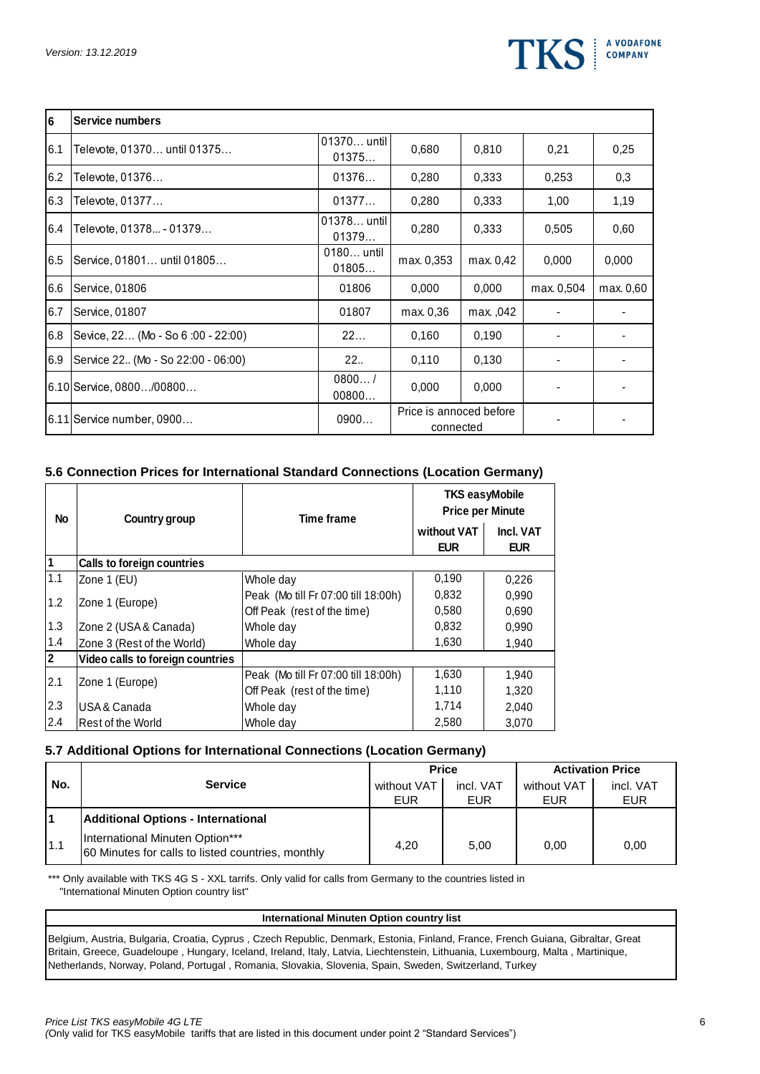

| 6   | Service numbers                     |                      |                                      |           |            |           |
|-----|-------------------------------------|----------------------|--------------------------------------|-----------|------------|-----------|
| 6.1 | Televote, 01370 until 01375         | 01370 until<br>01375 | 0,680                                | 0,810     | 0,21       | 0.25      |
| 6.2 | Televote, 01376                     | 01376                | 0,280                                | 0,333     | 0,253      | 0,3       |
| 6.3 | Televote, 01377                     | 01377                | 0,280                                | 0,333     | 1,00       | 1,19      |
| 6.4 | Televote, 01378 - 01379             | 01378 until<br>01379 | 0,280                                | 0,333     | 0,505      | 0,60      |
| 6.5 | Service, 01801 until 01805          | 0180 until<br>01805  | max. 0,353                           | max. 0,42 | 0,000      | 0,000     |
| 6.6 | Service, 01806                      | 01806                | 0,000                                | 0.000     | max. 0,504 | max. 0.60 |
| 6.7 | Service, 01807                      | 01807                | max. 0,36                            | max., 042 |            |           |
| 6.8 | Sevice, 22 (Mo - So 6:00 - 22:00)   | 22                   | 0,160                                | 0.190     |            |           |
| 6.9 | Service 22. (Mo - So 22:00 - 06:00) | 22                   | 0,110                                | 0.130     |            |           |
|     | 6.10 Service, 0800/00800            | 0800/<br>00800       | 0,000                                | 0,000     |            |           |
|     | 6.11 Service number, 0900           | 0900                 | Price is annoced before<br>connected |           |            |           |

# **5.6 Connection Prices for International Standard Connections (Location Germany)**

| No             | Country group                    | <b>Time frame</b>                   | <b>TKS easyMobile</b><br><b>Price per Minute</b> |                         |  |
|----------------|----------------------------------|-------------------------------------|--------------------------------------------------|-------------------------|--|
|                |                                  |                                     | without VAT<br><b>EUR</b>                        | Incl. VAT<br><b>EUR</b> |  |
|                | Calls to foreign countries       |                                     |                                                  |                         |  |
| 1.1            | Zone 1 (EU)                      | Whole day                           | 0,190                                            | 0,226                   |  |
| 1.2            |                                  | Peak (Mo till Fr 07:00 till 18:00h) | 0,832                                            | 0,990                   |  |
|                | Zone 1 (Europe)                  | Off Peak (rest of the time)         | 0,580                                            | 0,690                   |  |
| 1.3            | Zone 2 (USA & Canada)            | Whole day                           | 0,832                                            | 0,990                   |  |
| 1.4            | Zone 3 (Rest of the World)       | Whole day                           | 1,630                                            | 1,940                   |  |
| $\overline{2}$ | Video calls to foreign countries |                                     |                                                  |                         |  |
| 2.1            | Zone 1 (Europe)                  | Peak (Mo till Fr 07:00 till 18:00h) | 1,630                                            | 1,940                   |  |
|                |                                  | Off Peak (rest of the time)         | 1,110                                            | 1,320                   |  |
| 2.3            | IUSA & Canada                    | Whole day                           | 1,714                                            | 2,040                   |  |
| 2.4            | Rest of the World                | Whole day                           | 2,580                                            | 3,070                   |  |

# **5.7 Additional Options for International Connections (Location Germany)**

|     |                                                                                      |             | <b>Price</b> | <b>Activation Price</b> |            |  |
|-----|--------------------------------------------------------------------------------------|-------------|--------------|-------------------------|------------|--|
| No. | <b>Service</b>                                                                       | without VAT | incl. VAT    | without VAT             | incl. VAT  |  |
|     |                                                                                      | EUR         | <b>EUR</b>   | EUR                     | <b>EUR</b> |  |
|     | <b>Additional Options - International</b>                                            |             |              |                         |            |  |
| 1.1 | International Minuten Option***<br>60 Minutes for calls to listed countries, monthly | 4.20        | 5.00         | 0.00                    | 0.00       |  |

\*\*\* Only available with TKS 4G S - XXL tarrifs. Only valid for calls from Germany to the countries listed in "International Minuten Option country list"

#### **International Minuten Option country list**

Belgium, Austria, Bulgaria, Croatia, Cyprus , Czech Republic, Denmark, Estonia, Finland, France, French Guiana, Gibraltar, Great Britain, Greece, Guadeloupe , Hungary, Iceland, Ireland, Italy, Latvia, Liechtenstein, Lithuania, Luxembourg, Malta , Martinique, Netherlands, Norway, Poland, Portugal , Romania, Slovakia, Slovenia, Spain, Sweden, Switzerland, Turkey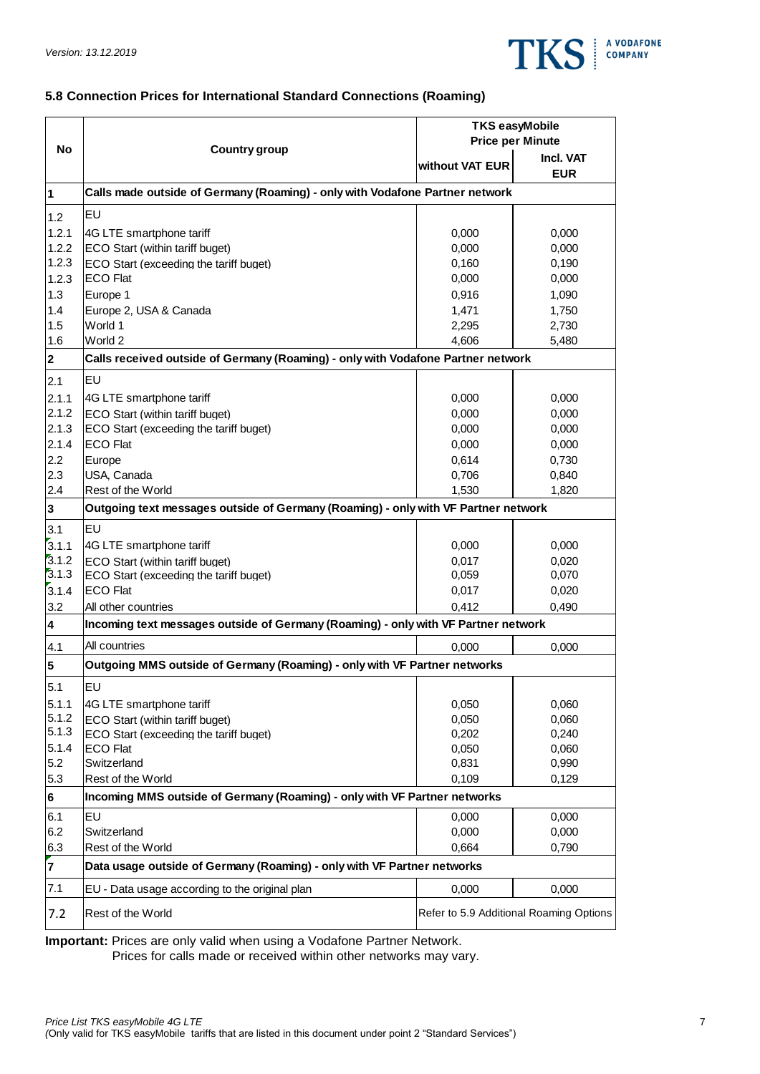

# **5.8 Connection Prices for International Standard Connections (Roaming)**

|                         |                                                                                    | <b>TKS easyMobile</b>   |                                         |  |  |
|-------------------------|------------------------------------------------------------------------------------|-------------------------|-----------------------------------------|--|--|
|                         |                                                                                    | <b>Price per Minute</b> |                                         |  |  |
| <b>No</b>               | Country group                                                                      | without VAT EUR         | Incl. VAT<br><b>EUR</b>                 |  |  |
| $\vert$ 1               | Calls made outside of Germany (Roaming) - only with Vodafone Partner network       |                         |                                         |  |  |
| 1.2                     | EU                                                                                 |                         |                                         |  |  |
| 1.2.1                   | 4G LTE smartphone tariff                                                           | 0,000                   | 0,000                                   |  |  |
| 1.2.2                   | ECO Start (within tariff buget)                                                    | 0,000                   | 0,000                                   |  |  |
| 1.2.3                   | ECO Start (exceeding the tariff buget)                                             | 0,160                   | 0,190                                   |  |  |
| 1.2.3                   | <b>ECO Flat</b>                                                                    | 0,000                   | 0,000                                   |  |  |
| 1.3                     | Europe 1                                                                           | 0,916                   | 1,090                                   |  |  |
| 1.4                     | Europe 2, USA & Canada                                                             | 1,471                   | 1,750                                   |  |  |
| 1.5                     | World 1                                                                            | 2,295                   | 2,730                                   |  |  |
| 1.6                     | World 2                                                                            | 4,606                   | 5,480                                   |  |  |
| $\overline{\mathbf{2}}$ | Calls received outside of Germany (Roaming) - only with Vodafone Partner network   |                         |                                         |  |  |
| 2.1                     | EU                                                                                 |                         |                                         |  |  |
| 2.1.1                   | 4G LTE smartphone tariff                                                           | 0,000                   | 0,000                                   |  |  |
| 2.1.2                   | <b>ECO Start (within tariff buget)</b>                                             | 0,000                   | 0,000                                   |  |  |
| 2.1.3                   | ECO Start (exceeding the tariff buget)                                             | 0,000                   | 0,000                                   |  |  |
| 2.1.4                   | <b>ECO Flat</b>                                                                    | 0,000                   | 0,000                                   |  |  |
| 2.2                     | Europe                                                                             | 0,614                   | 0,730                                   |  |  |
| 2.3                     | USA, Canada                                                                        | 0,706                   | 0,840                                   |  |  |
| 2.4                     | Rest of the World                                                                  | 1,530                   | 1,820                                   |  |  |
| $\overline{\mathbf{3}}$ | Outgoing text messages outside of Germany (Roaming) - only with VF Partner network |                         |                                         |  |  |
| 3.1                     | EU                                                                                 |                         |                                         |  |  |
| 3.1.1                   | 4G LTE smartphone tariff                                                           | 0,000                   | 0,000                                   |  |  |
| 3.1.2                   | ECO Start (within tariff buget)                                                    | 0,017                   | 0,020                                   |  |  |
| 3.1.3                   | ECO Start (exceeding the tariff buget)                                             | 0,059                   | 0,070                                   |  |  |
| 3.1.4                   | <b>ECO Flat</b>                                                                    | 0,017                   | 0,020                                   |  |  |
| 3.2                     | All other countries                                                                | 0,412                   | 0,490                                   |  |  |
| $\overline{\mathbf{4}}$ | Incoming text messages outside of Germany (Roaming) - only with VF Partner network |                         |                                         |  |  |
| 4.1                     | All countries                                                                      | 0,000                   | 0,000                                   |  |  |
| 5                       | Outgoing MMS outside of Germany (Roaming) - only with VF Partner networks          |                         |                                         |  |  |
| 5.1                     | EU                                                                                 |                         |                                         |  |  |
| 5.1.1                   | 4G LTE smartphone tariff                                                           | 0,050                   | 0,060                                   |  |  |
| 5.1.2                   | <b>ECO Start (within tariff buget)</b>                                             | 0,050                   | 0,060                                   |  |  |
| 5.1.3                   | ECO Start (exceeding the tariff buget)                                             | 0,202                   | 0,240                                   |  |  |
| 5.1.4                   | <b>ECO Flat</b>                                                                    | 0,050                   | 0,060                                   |  |  |
| 5.2                     | Switzerland                                                                        | 0,831                   | 0,990                                   |  |  |
| 5.3                     | Rest of the World                                                                  | 0,109                   | 0,129                                   |  |  |
| 6                       | Incoming MMS outside of Germany (Roaming) - only with VF Partner networks          |                         |                                         |  |  |
| 6.1                     | <b>EU</b><br>Switzerland                                                           | 0,000                   | 0,000                                   |  |  |
| 6.2                     | Rest of the World                                                                  | 0,000<br>0,664          | 0,000                                   |  |  |
| 6.3                     |                                                                                    |                         | 0,790                                   |  |  |
| $\mathbf{z}$            | Data usage outside of Germany (Roaming) - only with VF Partner networks            |                         |                                         |  |  |
| 7.1                     | EU - Data usage according to the original plan                                     | 0,000                   | 0,000                                   |  |  |
| 7.2                     | Rest of the World                                                                  |                         | Refer to 5.9 Additional Roaming Options |  |  |

**Important:** Prices are only valid when using a Vodafone Partner Network.

Prices for calls made or received within other networks may vary.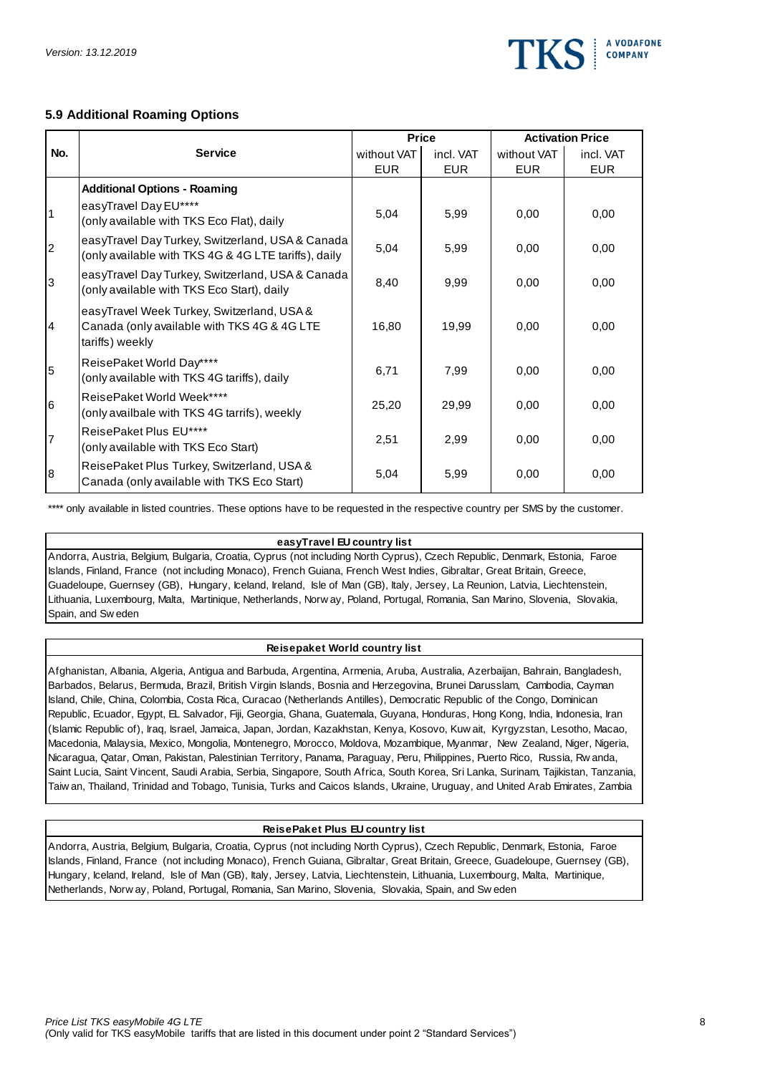

# **5.9 Additional Roaming Options**

|                |                                                                                                              |             | <b>Price</b> |             | <b>Activation Price</b> |
|----------------|--------------------------------------------------------------------------------------------------------------|-------------|--------------|-------------|-------------------------|
| No.            | <b>Service</b>                                                                                               | without VAT | incl. VAT    | without VAT | incl. VAT               |
|                |                                                                                                              | <b>EUR</b>  | <b>EUR</b>   | <b>EUR</b>  | <b>EUR</b>              |
|                | <b>Additional Options - Roaming</b>                                                                          |             |              |             |                         |
| $\overline{1}$ | easyTravel Day EU****<br>(only available with TKS Eco Flat), daily                                           | 5,04        | 5,99         | 0.00        | 0,00                    |
| 2              | easyTravel Day Turkey, Switzerland, USA & Canada<br>(only available with TKS 4G & 4G LTE tariffs), daily     | 5,04        | 5,99         | 0,00        | 0.00                    |
| 3              | easyTravel Day Turkey, Switzerland, USA & Canada<br>(only available with TKS Eco Start), daily               | 8,40        | 9,99         | 0,00        | 0,00                    |
| 4              | easyTravel Week Turkey, Switzerland, USA &<br>Canada (only available with TKS 4G & 4G LTE<br>tariffs) weekly | 16,80       | 19,99        | 0,00        | 0,00                    |
| 5              | ReisePaket World Day****<br>(only available with TKS 4G tariffs), daily                                      | 6,71        | 7,99         | 0.00        | 0,00                    |
| 16             | ReisePaket World Week****<br>(only availbale with TKS 4G tarrifs), weekly                                    | 25,20       | 29,99        | 0.00        | 0,00                    |
| $\overline{7}$ | ReisePaket Plus EU****<br>(only available with TKS Eco Start)                                                | 2,51        | 2,99         | 0.00        | 0.00                    |
| 8              | ReisePaket Plus Turkey, Switzerland, USA &<br>Canada (only available with TKS Eco Start)                     | 5,04        | 5,99         | 0,00        | 0,00                    |

\*\*\*\* only available in listed countries. These options have to be requested in the respective country per SMS by the customer.

#### **easyTravel EU country list**

Andorra, Austria, Belgium, Bulgaria, Croatia, Cyprus (not including North Cyprus), Czech Republic, Denmark, Estonia, Faroe<br>Islands, Finland, France (not including Monaco), French Guiana, French West Indies, Gibraltar, Grea Islands, Finland, France (not including Monaco), French Guiana, French West Indies, Gibraltar, Great Britain, Greece, Guadeloupe, Guernsey (GB), Hungary, Iceland, Ireland, Isle of Man (GB), Italy, Jersey, La Reunion, Latvi Guadeloupe, Guernsey (GB), Hungary, Iceland, Ireland, Isle of Man (GB), Italy, Jersey, La Reunion, Latvia, Liechtenstein,

#### **Reisepaket World country list**

Afghanistan, Albania, Algeria, Antigua and Barbuda, Argentina, Armenia, Aruba, Australia, Azerbaijan, Bahrain, Bangladesh, Barbados, Belarus, Bermuda, Brazil, British Virgin Islands, Bosnia and Herzegovina, Brunei Darusslam, Cambodia, Cayman<br>Island, Chile, China, Colombia, Costa Rica, Curacao (Netherlands Antilles), Democratic Republic of the Island, Chile, China, Colombia, Costa Rica, Curacao (Netherlands Antilles), Democratic Republic of the Congo, Dominican Republic, Ecuador, Egypt, EL Salvador, Fiji, Georgia, Ghana, Guatemala, Guyana, Honduras, Hong Kong, India, Indonesia, Iran Island, Chile, China, Colombia, Costa Rica, Curacao (Netherlands Antilles), Democratic Republic of the Congo, Dominican<br>Republic, Ecuador, Egypt, EL Salvador, Fiji, Georgia, Ghana, Guatemala, Guyana, Honduras, Hong Kong, I Republic, Ecuador, Egypt, EL Salvador, Fiji, Georgia, Ghana, Guatemala, Guyana, Honduras, Hong Kong, India, Indonesia, Irar<br>(Islamic Republic of), Iraq, Israel, Jamaica, Japan, Jordan, Kazakhstan, Kenya, Kosovo, Kuw ait, K Saint Lucia, Saint Vincent, Saudi Arabia, Serbia, Singapore, South Africa, South Korea, Sri Lanka, Surinam, Tajikistan, Tanzania, Macedonia, Malaysia, Mexico, Mongolia, Montenegro, Morocco, Moldova, Mozambique, Myanmar, New Zealand, Niger, Nigeria,<br>Nicaragua, Qatar, Oman, Pakistan, Palestinian Territory, Panama, Paraguay, Peru, Philippines, Puerto Ri

#### **ReisePaket Plus EU country list**

Andorra, Austria, Belgium, Bulgaria, Croatia, Cyprus (not including North Cyprus), Czech Republic, Denmark, Estonia, Faroe<br>Islands, Finland, France (not including Monaco), French Guiana, Gibraltar, Great Britain, Greece, G Islands, Finland, France (not including Monaco), French Guiana, Gibraltar, Great Britain, Greece, Guadeloupe, Guernsey (GB), Hungary, Iceland, Ireland, Isle of Man (GB), Italy, Jersey, Latvia, Liechtenstein, Lithuania, Luxembourg, Malta, Martinique,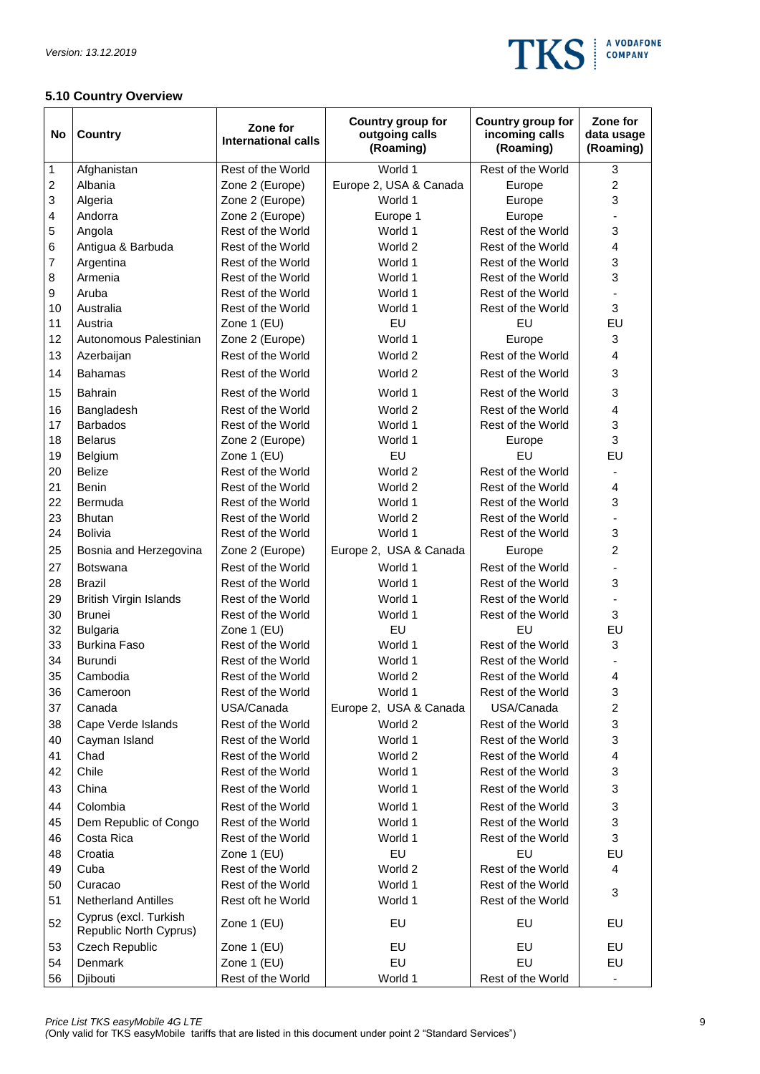

# **5.10 Country Overview**

| No                      | <b>Country</b>                                  | Zone for<br><b>International calls</b> | Country group for<br>outgoing calls<br>(Roaming) | Country group for<br>incoming calls<br>(Roaming) | Zone for<br>data usage<br>(Roaming) |
|-------------------------|-------------------------------------------------|----------------------------------------|--------------------------------------------------|--------------------------------------------------|-------------------------------------|
| 1                       | Afghanistan                                     | Rest of the World                      | World 1                                          | Rest of the World                                | 3                                   |
| $\overline{\mathbf{c}}$ | Albania                                         | Zone 2 (Europe)                        | Europe 2, USA & Canada                           | Europe                                           | $\overline{c}$                      |
| 3                       | Algeria                                         | Zone 2 (Europe)                        | World 1                                          | Europe                                           | 3                                   |
| 4                       | Andorra                                         | Zone 2 (Europe)                        | Europe 1                                         | Europe                                           |                                     |
| 5                       | Angola                                          | Rest of the World                      | World 1                                          | Rest of the World                                | 3                                   |
| 6                       | Antigua & Barbuda                               | Rest of the World                      | World 2                                          | Rest of the World                                | 4                                   |
| 7                       | Argentina                                       | Rest of the World                      | World 1                                          | Rest of the World                                | 3                                   |
| 8                       | Armenia                                         | Rest of the World                      | World 1                                          | Rest of the World                                | 3                                   |
| 9                       | Aruba                                           | Rest of the World                      | World 1                                          | Rest of the World                                |                                     |
| 10                      | Australia                                       | Rest of the World                      | World 1                                          | Rest of the World                                | 3                                   |
| 11                      | Austria                                         | Zone 1 (EU)                            | EU                                               | EU                                               | EU                                  |
| 12                      | Autonomous Palestinian                          | Zone 2 (Europe)                        | World 1                                          | Europe                                           | 3                                   |
| 13                      | Azerbaijan                                      | Rest of the World                      | World 2                                          | Rest of the World                                | 4                                   |
| 14                      | <b>Bahamas</b>                                  | Rest of the World                      | World 2                                          | Rest of the World                                | 3                                   |
| 15                      | <b>Bahrain</b>                                  | Rest of the World                      | World 1                                          | Rest of the World                                | 3                                   |
| 16                      | Bangladesh                                      | Rest of the World                      | World 2                                          | Rest of the World                                | $\overline{\mathbf{4}}$             |
| 17                      | <b>Barbados</b>                                 | Rest of the World                      | World 1                                          | Rest of the World                                | 3                                   |
| 18                      | <b>Belarus</b>                                  | Zone 2 (Europe)                        | World 1                                          | Europe                                           | 3                                   |
| 19                      | Belgium                                         | Zone 1 (EU)                            | EU                                               | EU                                               | EU                                  |
| 20                      | <b>Belize</b>                                   | Rest of the World                      | World 2                                          | Rest of the World                                |                                     |
| 21                      | Benin                                           | Rest of the World                      | World 2                                          | Rest of the World                                | 4                                   |
| 22                      | Bermuda                                         | Rest of the World                      | World 1                                          | Rest of the World                                | 3                                   |
| 23                      | <b>Bhutan</b>                                   | Rest of the World                      | World 2                                          | Rest of the World                                | $\blacksquare$                      |
| 24                      | <b>Bolivia</b>                                  | Rest of the World                      | World 1                                          | Rest of the World                                | 3                                   |
| 25                      | Bosnia and Herzegovina                          | Zone 2 (Europe)                        | Europe 2, USA & Canada                           | Europe                                           | $\overline{c}$                      |
| 27<br>28                | <b>Botswana</b>                                 | Rest of the World<br>Rest of the World | World 1<br>World 1                               | Rest of the World<br>Rest of the World           | 3                                   |
| 29                      | <b>Brazil</b>                                   | Rest of the World                      | World 1                                          | Rest of the World                                |                                     |
| 30                      | <b>British Virgin Islands</b>                   | Rest of the World                      |                                                  |                                                  | 3                                   |
| 32                      | <b>Brunei</b>                                   | Zone 1 (EU)                            | World 1<br>EU                                    | Rest of the World<br>EU                          | EU                                  |
| 33                      | <b>Bulgaria</b><br><b>Burkina Faso</b>          | Rest of the World                      | World 1                                          | Rest of the World                                | 3                                   |
| 34                      | <b>Burundi</b>                                  | Rest of the World                      | World 1                                          | Rest of the World                                |                                     |
| 35                      | Cambodia                                        | Rest of the World                      | World 2                                          | Rest of the World                                | 4                                   |
| 36                      | Cameroon                                        | Rest of the World                      | World 1                                          | Rest of the World                                | 3                                   |
| 37                      | Canada                                          | USA/Canada                             | Europe 2, USA & Canada                           | USA/Canada                                       | $\overline{c}$                      |
| 38                      | Cape Verde Islands                              | Rest of the World                      | World 2                                          | Rest of the World                                | 3                                   |
| 40                      | Cayman Island                                   | Rest of the World                      | World 1                                          | Rest of the World                                | 3                                   |
| 41                      | Chad                                            | Rest of the World                      | World 2                                          | Rest of the World                                | $\overline{\mathbf{4}}$             |
| 42                      | Chile                                           | Rest of the World                      | World 1                                          | Rest of the World                                | 3                                   |
| 43                      | China                                           | Rest of the World                      | World 1                                          | Rest of the World                                | 3                                   |
| 44                      | Colombia                                        | Rest of the World                      | World 1                                          | Rest of the World                                | 3                                   |
| 45                      | Dem Republic of Congo                           | Rest of the World                      | World 1                                          | Rest of the World                                | 3                                   |
| 46                      | Costa Rica                                      | Rest of the World                      | World 1                                          | Rest of the World                                | 3                                   |
| 48                      | Croatia                                         | Zone 1 (EU)                            | EU                                               | EU                                               | EU                                  |
| 49                      | Cuba                                            | Rest of the World                      | World 2                                          | Rest of the World                                | 4                                   |
| 50                      | Curacao                                         | Rest of the World                      | World 1                                          | Rest of the World                                |                                     |
| 51                      | <b>Netherland Antilles</b>                      | Rest oft he World                      | World 1                                          | Rest of the World                                | 3                                   |
| 52                      | Cyprus (excl. Turkish<br>Republic North Cyprus) | Zone 1 (EU)                            | EU                                               | EU                                               | EU                                  |
| 53                      | Czech Republic                                  | Zone 1 (EU)                            | EU                                               | EU                                               | EU                                  |
| 54                      | Denmark                                         | Zone 1 (EU)                            | EU                                               | EU                                               | EU                                  |
| 56                      | Djibouti                                        | Rest of the World                      | World 1                                          | Rest of the World                                | $\blacksquare$                      |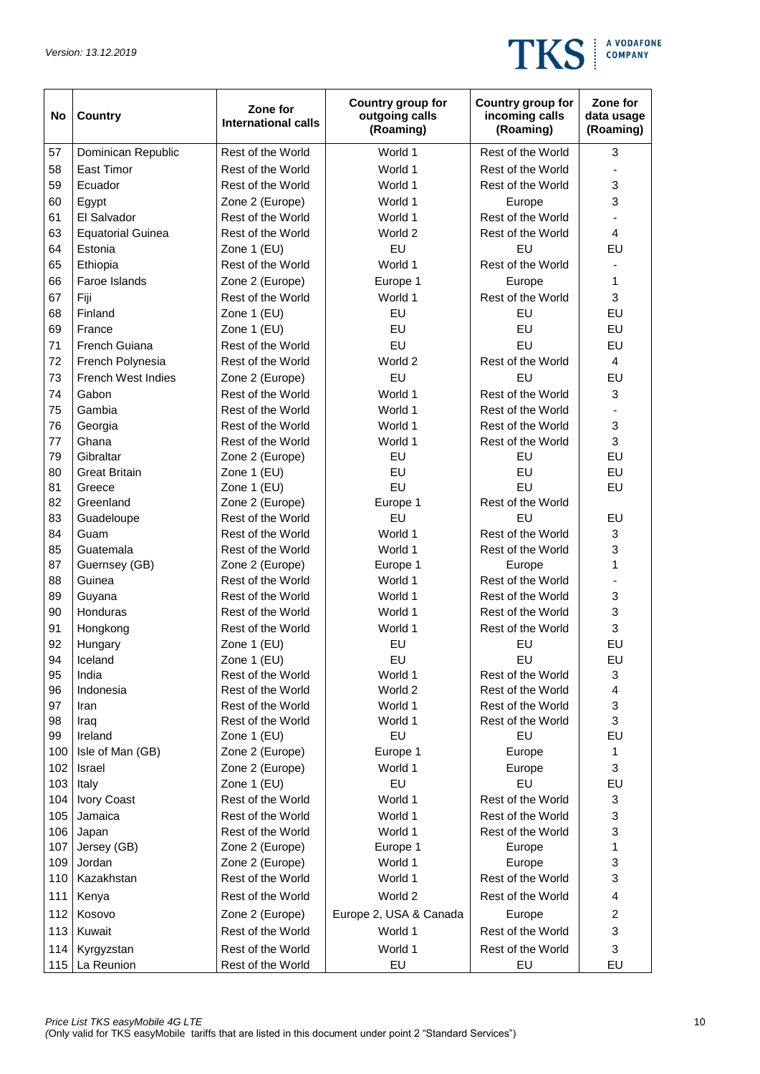

| No         | <b>Country</b>            | Zone for<br><b>International calls</b> | Country group for<br>outgoing calls<br>(Roaming) | Country group for<br>incoming calls<br>(Roaming) | Zone for<br>data usage<br>(Roaming) |
|------------|---------------------------|----------------------------------------|--------------------------------------------------|--------------------------------------------------|-------------------------------------|
| 57         | Dominican Republic        | Rest of the World                      | World 1                                          | Rest of the World                                | 3                                   |
| 58         | East Timor                | Rest of the World                      | World 1                                          | Rest of the World                                |                                     |
| 59         | Ecuador                   | Rest of the World                      | World 1                                          | Rest of the World                                | 3                                   |
| 60         | Egypt                     | Zone 2 (Europe)                        | World 1                                          | Europe                                           | 3                                   |
| 61         | El Salvador               | Rest of the World                      | World 1                                          | Rest of the World                                |                                     |
| 63         | <b>Equatorial Guinea</b>  | Rest of the World                      | World 2                                          | Rest of the World                                | 4                                   |
| 64         | Estonia                   | Zone 1 (EU)                            | EU                                               | EU                                               | EU                                  |
| 65         | Ethiopia                  | Rest of the World                      | World 1                                          | Rest of the World                                |                                     |
| 66         | Faroe Islands             | Zone 2 (Europe)                        | Europe 1                                         | Europe                                           | 1                                   |
| 67         | Fiji                      | Rest of the World                      | World 1                                          | Rest of the World                                | 3                                   |
| 68         | Finland                   | Zone 1 (EU)                            | EU                                               | EU                                               | EU                                  |
| 69         | France                    | Zone 1 (EU)                            | EU                                               | EU                                               | EU                                  |
| 71         | French Guiana             | Rest of the World                      | EU                                               | EU                                               | EU                                  |
| 72         | French Polynesia          | Rest of the World                      | World 2                                          | Rest of the World                                | 4                                   |
| 73         | <b>French West Indies</b> | Zone 2 (Europe)                        | EU                                               | EU                                               | EU                                  |
| 74         | Gabon                     | Rest of the World                      | World 1                                          | Rest of the World                                | 3                                   |
| 75         | Gambia                    | Rest of the World                      | World 1                                          | Rest of the World                                |                                     |
| 76         | Georgia                   | Rest of the World                      | World 1                                          | Rest of the World                                | 3                                   |
| 77         | Ghana                     | Rest of the World                      | World 1                                          | Rest of the World                                | 3                                   |
| 79         | Gibraltar                 | Zone 2 (Europe)                        | EU                                               | EU                                               | EU                                  |
| 80         | <b>Great Britain</b>      | Zone 1 (EU)                            | EU                                               | EU                                               | EU                                  |
| 81         | Greece                    | Zone 1 (EU)                            | EU                                               | EU                                               | EU                                  |
| 82         | Greenland                 | Zone 2 (Europe)                        | Europe 1                                         | Rest of the World                                |                                     |
| 83         | Guadeloupe                | Rest of the World                      | EU                                               | EU                                               | EU                                  |
| 84         | Guam                      | Rest of the World                      | World 1                                          | Rest of the World                                | 3                                   |
| 85         | Guatemala                 | Rest of the World                      | World 1                                          | Rest of the World                                | 3                                   |
| 87         | Guernsey (GB)             | Zone 2 (Europe)                        | Europe 1                                         | Europe                                           | 1                                   |
| 88         | Guinea                    | Rest of the World                      | World 1                                          | Rest of the World                                |                                     |
| 89         | Guyana                    | Rest of the World                      | World 1                                          | Rest of the World                                | 3                                   |
| 90         | Honduras                  | Rest of the World                      | World 1                                          | Rest of the World                                | 3                                   |
| 91         | Hongkong                  | Rest of the World                      | World 1                                          | Rest of the World                                | 3                                   |
| 92         | Hungary                   | Zone 1 (EU)                            | EU                                               | EU                                               | EU                                  |
| 94         | Iceland                   | Zone 1 (EU)                            | EU                                               | EU                                               | EU                                  |
| 95         | India                     | Rest of the World                      | World 1                                          | Rest of the World                                | 3                                   |
| 96         | Indonesia                 | Rest of the World                      | World 2                                          | Rest of the World                                | $\overline{\mathbf{4}}$             |
| 97         | Iran                      | Rest of the World                      | World 1                                          | Rest of the World                                | 3                                   |
| 98         | Iraq                      | Rest of the World                      | World 1                                          | Rest of the World                                | 3                                   |
| 99         | Ireland                   | Zone 1 (EU)                            | EU                                               | EU                                               | EU                                  |
| 100        | Isle of Man (GB)          | Zone 2 (Europe)                        | Europe 1                                         | Europe                                           | 1                                   |
| 102        | Israel                    | Zone 2 (Europe)                        | World 1<br>EU                                    | Europe<br>EU                                     | 3<br>EU                             |
| 103        | Italy                     | Zone 1 (EU)                            |                                                  |                                                  |                                     |
| 104        | Ivory Coast               | Rest of the World<br>Rest of the World | World 1                                          | Rest of the World                                | 3<br>3                              |
| 105        | Jamaica                   |                                        | World 1                                          | Rest of the World                                |                                     |
| 106<br>107 | Japan<br>Jersey (GB)      | Rest of the World                      | World 1                                          | Rest of the World                                | 3<br>1                              |
| 109        | Jordan                    | Zone 2 (Europe)<br>Zone 2 (Europe)     | Europe 1<br>World 1                              | Europe<br>Europe                                 | 3                                   |
| 110        | Kazakhstan                | Rest of the World                      | World 1                                          | Rest of the World                                | 3                                   |
| 111        | Kenya                     | Rest of the World                      | World 2                                          | Rest of the World                                | 4                                   |
| 112        | Kosovo                    | Zone 2 (Europe)                        | Europe 2, USA & Canada                           | Europe                                           | $\overline{c}$                      |
| 113        | Kuwait                    | Rest of the World                      | World 1                                          | Rest of the World                                | 3                                   |
| 114        | Kyrgyzstan                | Rest of the World                      | World 1                                          | Rest of the World                                | 3                                   |
| 115        | La Reunion                | Rest of the World                      | EU                                               | EU                                               | EU                                  |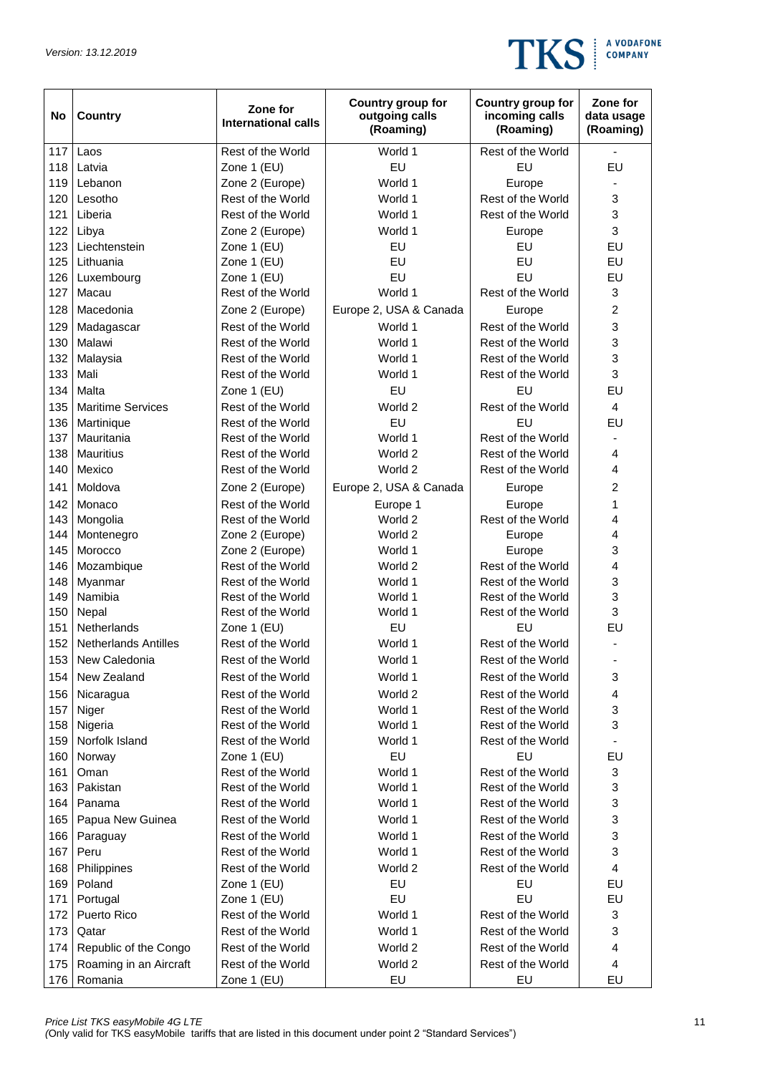

| No  | <b>Country</b>              | Zone for<br><b>International calls</b> | Country group for<br>outgoing calls<br>(Roaming) | Country group for<br>incoming calls<br>(Roaming) | Zone for<br>data usage<br>(Roaming) |
|-----|-----------------------------|----------------------------------------|--------------------------------------------------|--------------------------------------------------|-------------------------------------|
| 117 | Laos                        | Rest of the World                      | World 1                                          | Rest of the World                                |                                     |
| 118 | Latvia                      | Zone 1 (EU)                            | EU                                               | EU                                               | EU                                  |
| 119 | Lebanon                     | Zone 2 (Europe)                        | World 1                                          | Europe                                           |                                     |
| 120 | Lesotho                     | Rest of the World                      | World 1                                          | Rest of the World                                | 3                                   |
| 121 | Liberia                     | Rest of the World                      | World 1                                          | Rest of the World                                | 3                                   |
| 122 | Libya                       | Zone 2 (Europe)                        | World 1                                          | Europe                                           | 3                                   |
| 123 | Liechtenstein               | Zone 1 (EU)                            | EU                                               | EU                                               | EU                                  |
| 125 | Lithuania                   | Zone 1 (EU)                            | EU                                               | EU                                               | EU                                  |
| 126 | Luxembourg                  | Zone 1 (EU)                            | EU                                               | EU                                               | EU                                  |
| 127 | Macau                       | Rest of the World                      | World 1                                          | Rest of the World                                | $\ensuremath{\mathsf{3}}$           |
| 128 | Macedonia                   | Zone 2 (Europe)                        | Europe 2, USA & Canada                           | Europe                                           | $\overline{c}$                      |
| 129 | Madagascar                  | Rest of the World                      | World 1                                          | Rest of the World                                | 3                                   |
| 130 | Malawi                      | Rest of the World                      | World 1                                          | Rest of the World                                | 3                                   |
| 132 | Malaysia                    | Rest of the World                      | World 1                                          | Rest of the World                                | 3                                   |
| 133 | Mali                        | Rest of the World                      | World 1                                          | Rest of the World                                | 3                                   |
| 134 | Malta                       | Zone 1 (EU)                            | EU                                               | EU                                               | EU                                  |
| 135 | <b>Maritime Services</b>    | Rest of the World                      | World 2                                          | Rest of the World                                | $\overline{4}$                      |
| 136 | Martinique                  | Rest of the World                      | EU                                               | EU                                               | EU                                  |
| 137 | Mauritania                  | Rest of the World                      | World 1                                          | Rest of the World                                | ٠                                   |
| 138 | <b>Mauritius</b>            | Rest of the World                      | World 2                                          | Rest of the World                                | 4                                   |
| 140 | Mexico                      | Rest of the World                      | World 2                                          | Rest of the World                                | 4                                   |
| 141 | Moldova                     | Zone 2 (Europe)                        | Europe 2, USA & Canada                           | Europe                                           | 2                                   |
| 142 | Monaco                      | Rest of the World                      | Europe 1                                         | Europe                                           | 1                                   |
| 143 | Mongolia                    | Rest of the World                      | World 2                                          | Rest of the World                                | 4                                   |
| 144 | Montenegro                  | Zone 2 (Europe)                        | World 2                                          | Europe                                           | 4                                   |
| 145 | Morocco                     | Zone 2 (Europe)                        | World 1                                          | Europe                                           | 3                                   |
| 146 | Mozambique                  | Rest of the World                      | World 2                                          | Rest of the World                                | 4                                   |
| 148 | Myanmar                     | Rest of the World                      | World 1                                          | Rest of the World                                | 3                                   |
| 149 | Namibia                     | Rest of the World                      | World 1                                          | Rest of the World                                | 3                                   |
| 150 | Nepal                       | Rest of the World                      | World 1                                          | Rest of the World                                | 3                                   |
| 151 | Netherlands                 | Zone 1 (EU)                            | EU                                               | EU                                               | EU                                  |
| 152 | <b>Netherlands Antilles</b> | Rest of the World                      | World 1                                          | Rest of the World                                |                                     |
| 153 | New Caledonia               | Rest of the World                      | World 1                                          | Rest of the World                                |                                     |
| 154 | New Zealand                 | Rest of the World                      | World 1                                          | Rest of the World                                | 3                                   |
| 156 | Nicaragua                   | Rest of the World                      | World 2                                          | Rest of the World                                | 4                                   |
| 157 | Niger                       | Rest of the World                      | World 1                                          | Rest of the World                                | 3                                   |
| 158 | Nigeria                     | Rest of the World                      | World 1                                          | Rest of the World                                | 3                                   |
| 159 | Norfolk Island              | Rest of the World                      | World 1                                          | Rest of the World                                |                                     |
| 160 | Norway                      | Zone 1 (EU)                            | EU                                               | EU                                               | EU                                  |
| 161 | Oman                        | Rest of the World                      | World 1                                          | Rest of the World                                | 3                                   |
| 163 | Pakistan                    | Rest of the World                      | World 1                                          | Rest of the World                                | 3                                   |
| 164 | Panama                      | Rest of the World                      | World 1                                          | Rest of the World                                | 3                                   |
| 165 | Papua New Guinea            | Rest of the World                      | World 1                                          | Rest of the World                                | 3                                   |
| 166 | Paraguay                    | Rest of the World                      | World 1                                          | Rest of the World                                | 3                                   |
| 167 | Peru                        | Rest of the World                      | World 1                                          | Rest of the World                                | 3                                   |
| 168 | Philippines                 | Rest of the World                      | World 2                                          | Rest of the World                                | $\overline{\mathbf{4}}$             |
| 169 | Poland                      | Zone 1 (EU)                            | EU                                               | EU                                               | EU                                  |
| 171 | Portugal                    | Zone 1 (EU)                            | EU                                               | EU                                               | EU                                  |
| 172 | Puerto Rico                 | Rest of the World                      | World 1                                          | Rest of the World                                | 3                                   |
| 173 | Qatar                       | Rest of the World                      | World 1                                          | Rest of the World                                | 3                                   |
| 174 | Republic of the Congo       | Rest of the World                      | World 2                                          | Rest of the World                                | 4                                   |
| 175 | Roaming in an Aircraft      | Rest of the World                      | World 2                                          | Rest of the World                                | $\overline{4}$                      |
| 176 | Romania                     | Zone 1 (EU)                            | EU                                               | EU                                               | EU                                  |